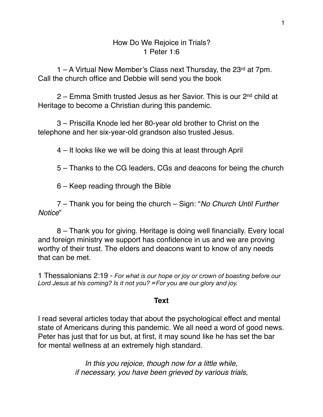#### How Do We Rejoice in Trials? 1 Peter 1:6

1 – A Virtual New Member's Class next Thursday, the 23rd at 7pm. Call the church office and Debbie will send you the book

2 – Emma Smith trusted Jesus as her Savior. This is our 2nd child at Heritage to become a Christian during this pandemic.

3 – Priscilla Knode led her 80-year old brother to Christ on the telephone and her six-year-old grandson also trusted Jesus.

4 – It looks like we will be doing this at least through April

5 – Thanks to the CG leaders, CGs and deacons for being the church

6 – Keep reading through the Bible

7 – Thank you for being the church – Sign: "*No Church Until Further Notice*"

8 – Thank you for giving. Heritage is doing well financially. Every local and foreign ministry we support has confidence in us and we are proving worthy of their trust. The elders and deacons want to know of any needs that can be met.

1 Thessalonians 2:19 - *For what is our hope or joy or crown of boasting before our Lord Jesus at his coming? Is it not you? <sup>20</sup>For you are our glory and joy.*

### **Text**

I read several articles today that about the psychological effect and mental state of Americans during this pandemic. We all need a word of good news. Peter has just that for us but, at first, it may sound like he has set the bar for mental wellness at an extremely high standard.

> *In this you rejoice, though now for a little while, if necessary, you have been grieved by various trials,*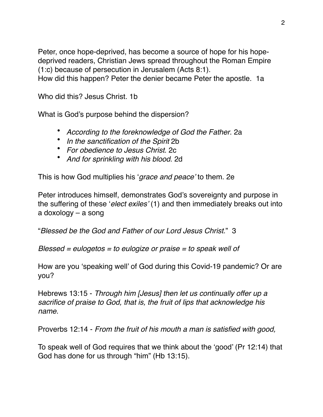Peter, once hope-deprived, has become a source of hope for his hopedeprived readers, Christian Jews spread throughout the Roman Empire (1:c) because of persecution in Jerusalem (Acts 8:1).

How did this happen? Peter the denier became Peter the apostle. 1a

Who did this? Jesus Christ. 1b

What is God's purpose behind the dispersion?

- *According to the foreknowledge of God the Father*. 2a
- *In the sanctification of the Spirit* 2b
- *For obedience to Jesus Christ*. 2c
- *And for sprinkling with his blood*. 2d

This is how God multiplies his '*grace and peace'* to them. 2e

Peter introduces himself, demonstrates God's sovereignty and purpose in the suffering of these '*elect exiles'* (1) and then immediately breaks out into a doxology – a song

"*Blessed be the God and Father of our Lord Jesus Christ*." 3

*Blessed = eulogetos = to eulogize or praise = to speak well of*

How are you 'speaking well' of God during this Covid-19 pandemic? Or are you?

Hebrews 13:15 - *Through him [Jesus] then let us continually offer up a sacrifice of praise to God, that is, the fruit of lips that acknowledge his name.*

Proverbs 12:14 - *From the fruit of his mouth a man is satisfied with good,*

To speak well of God requires that we think about the 'good' (Pr 12:14) that God has done for us through "him" (Hb 13:15).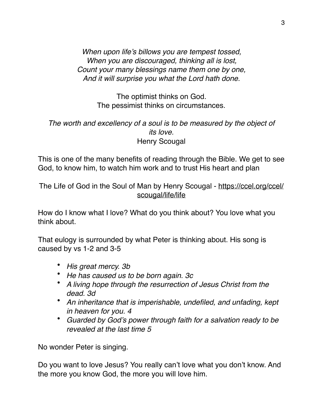*When upon life's billows you are tempest tossed, When you are discouraged, thinking all is lost, Count your many blessings name them one by one, And it will surprise you what the Lord hath done.*

> The optimist thinks on God. The pessimist thinks on circumstances.

#### *The worth and excellency of a soul is to be measured by the object of its love.* Henry Scougal

This is one of the many benefits of reading through the Bible. We get to see God, to know him, to watch him work and to trust His heart and plan

The Life of God in the Soul of Man by Henry Scougal - [https://ccel.org/ccel/](https://ccel.org/ccel/scougal/life/life) [scougal/life/life](https://ccel.org/ccel/scougal/life/life)

How do I know what I love? What do you think about? You love what you think about.

That eulogy is surrounded by what Peter is thinking about. His song is caused by vs 1-2 and 3-5

- *His great mercy. 3b*
- *He has caused us to be born again. 3c*
- *A living hope through the resurrection of Jesus Christ from the dead. 3d*
- *An inheritance that is imperishable, undefiled, and unfading, kept in heaven for you. 4*
- *Guarded by God's power through faith for a salvation ready to be revealed at the last time 5*

No wonder Peter is singing.

Do you want to love Jesus? You really can't love what you don't know. And the more you know God, the more you will love him.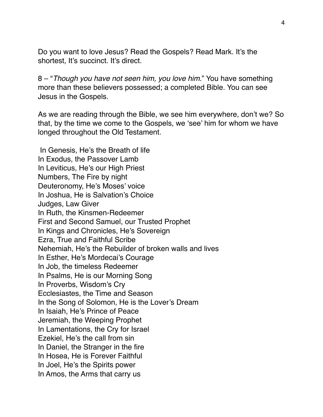Do you want to love Jesus? Read the Gospels? Read Mark. It's the shortest, It's succinct. It's direct.

8 – "*Though you have not seen him, you love him*." You have something more than these believers possessed; a completed Bible. You can see Jesus in the Gospels.

As we are reading through the Bible, we see him everywhere, don't we? So that, by the time we come to the Gospels, we 'see' him for whom we have longed throughout the Old Testament.

 In Genesis, He's the Breath of life In Exodus, the Passover Lamb In Leviticus, He's our High Priest Numbers, The Fire by night Deuteronomy, He's Moses' voice In Joshua, He is Salvation's Choice Judges, Law Giver In Ruth, the Kinsmen-Redeemer First and Second Samuel, our Trusted Prophet In Kings and Chronicles, He's Sovereign Ezra, True and Faithful Scribe Nehemiah, He's the Rebuilder of broken walls and lives In Esther, He's Mordecai's Courage In Job, the timeless Redeemer In Psalms, He is our Morning Song In Proverbs, Wisdom's Cry Ecclesiastes, the Time and Season In the Song of Solomon, He is the Lover's Dream In Isaiah, He's Prince of Peace Jeremiah, the Weeping Prophet In Lamentations, the Cry for Israel Ezekiel, He's the call from sin In Daniel, the Stranger in the fire In Hosea, He is Forever Faithful In Joel, He's the Spirits power In Amos, the Arms that carry us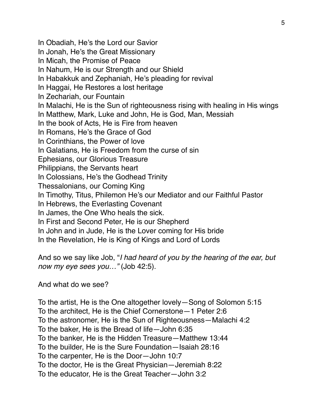In Obadiah, He's the Lord our Savior In Jonah, He's the Great Missionary In Micah, the Promise of Peace In Nahum, He is our Strength and our Shield In Habakkuk and Zephaniah, He's pleading for revival In Haggai, He Restores a lost heritage In Zechariah, our Fountain In Malachi, He is the Sun of righteousness rising with healing in His wings In Matthew, Mark, Luke and John, He is God, Man, Messiah In the book of Acts, He is Fire from heaven In Romans, He's the Grace of God In Corinthians, the Power of love In Galatians, He is Freedom from the curse of sin Ephesians, our Glorious Treasure Philippians, the Servants heart In Colossians, He's the Godhead Trinity Thessalonians, our Coming King In Timothy, Titus, Philemon He's our Mediator and our Faithful Pastor In Hebrews, the Everlasting Covenant In James, the One Who heals the sick. In First and Second Peter, He is our Shepherd In John and in Jude, He is the Lover coming for His bride In the Revelation, He is King of Kings and Lord of Lords

And so we say like Job, "*I had heard of you by the hearing of the ear, but now my eye sees you…"* (Job 42:5).

And what do we see?

To the artist, He is the One altogether lovely—Song of Solomon 5:15 To the architect, He is the Chief Cornerstone—1 Peter 2:6 To the astronomer, He is the Sun of Righteousness—Malachi 4:2 To the baker, He is the Bread of life—John 6:35 To the banker, He is the Hidden Treasure—Matthew 13:44 To the builder, He is the Sure Foundation—Isaiah 28:16 To the carpenter, He is the Door—John 10:7 To the doctor, He is the Great Physician—Jeremiah 8:22 To the educator, He is the Great Teacher—John 3:2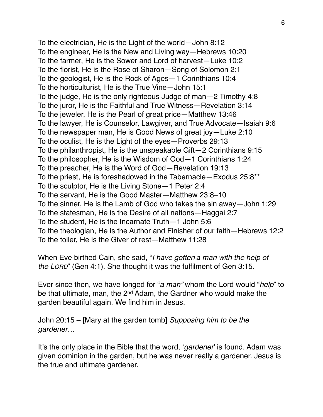To the electrician, He is the Light of the world—John 8:12 To the engineer, He is the New and Living way—Hebrews 10:20 To the farmer, He is the Sower and Lord of harvest—Luke 10:2 To the florist, He is the Rose of Sharon—Song of Solomon 2:1 To the geologist, He is the Rock of Ages—1 Corinthians 10:4 To the horticulturist, He is the True Vine—John 15:1 To the judge, He is the only righteous Judge of man—2 Timothy 4:8 To the juror, He is the Faithful and True Witness—Revelation 3:14 To the jeweler, He is the Pearl of great price—Matthew 13:46 To the lawyer, He is Counselor, Lawgiver, and True Advocate—Isaiah 9:6 To the newspaper man, He is Good News of great joy—Luke 2:10 To the oculist, He is the Light of the eyes—Proverbs 29:13 To the philanthropist, He is the unspeakable Gift—2 Corinthians 9:15 To the philosopher, He is the Wisdom of God—1 Corinthians 1:24 To the preacher, He is the Word of God—Revelation 19:13 To the priest, He is foreshadowed in the Tabernacle—Exodus 25:8\*\* To the sculptor, He is the Living Stone—1 Peter 2:4 To the servant, He is the Good Master—Matthew 23:8–10 To the sinner, He is the Lamb of God who takes the sin away—John 1:29 To the statesman, He is the Desire of all nations—Haggai 2:7 To the student, He is the Incarnate Truth—1 John 5:6 To the theologian, He is the Author and Finisher of our faith—Hebrews 12:2 To the toiler, He is the Giver of rest—Matthew 11:28

When Eve birthed Cain, she said, "*I have gotten a man with the help of the LORD*" (Gen 4:1). She thought it was the fulfilment of Gen 3:15.

Ever since then, we have longed for "*a man"* whom the Lord would "*help*" to be that ultimate, man, the 2nd Adam, the Gardner who would make the garden beautiful again. We find him in Jesus.

John 20:15 – [Mary at the garden tomb] *Supposing him to be the gardener*…

It's the only place in the Bible that the word, '*gardener*' is found. Adam was given dominion in the garden, but he was never really a gardener. Jesus is the true and ultimate gardener.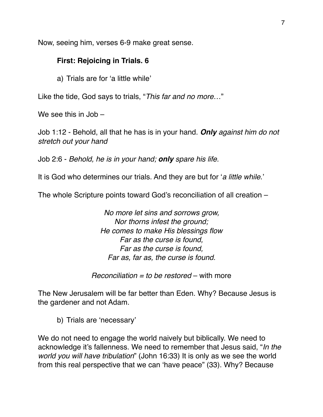Now, seeing him, verses 6-9 make great sense.

## **First: Rejoicing in Trials. 6**

a) Trials are for 'a little while'

Like the tide, God says to trials, "*This far and no more*…"

We see this in Job –

Job 1:12 - Behold, all that he has is in your hand. *Only against him do not stretch out your hand*

Job 2:6 - *Behold, he is in your hand; only spare his life.*

It is God who determines our trials. And they are but for '*a little while*.'

The whole Scripture points toward God's reconciliation of all creation –

*No more let sins and sorrows grow, Nor thorns infest the ground; He comes to make His blessings flow Far as the curse is found, Far as the curse is found, Far as, far as, the curse is found.*

*Reconciliation = to be restored* – with more

The New Jerusalem will be far better than Eden. Why? Because Jesus is the gardener and not Adam.

b) Trials are 'necessary'

We do not need to engage the world naively but biblically. We need to acknowledge it's fallenness. We need to remember that Jesus said, "*In the world you will have tribulation*" (John 16:33) It is only as we see the world from this real perspective that we can 'have peace" (33). Why? Because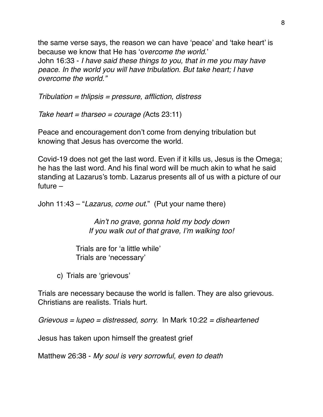the same verse says, the reason we can have 'peace' and 'take heart' is because we know that He has 'o*vercome the world*.' John 16:33 - *I have said these things to you, that in me you may have peace. In the world you will have tribulation. But take heart; I have overcome the world."*

*Tribulation = thlipsis = pressure, affliction, distress* 

*Take heart = tharseo = courage (*Acts 23:11)

Peace and encouragement don't come from denying tribulation but knowing that Jesus has overcome the world.

Covid-19 does not get the last word. Even if it kills us, Jesus is the Omega; he has the last word. And his final word will be much akin to what he said standing at Lazarus's tomb. Lazarus presents all of us with a picture of our future –

John 11:43 – "*Lazarus, come out*." (Put your name there)

*Ain't no grave, gonna hold my body down If you walk out of that grave, I'm walking too!*

Trials are for 'a little while' Trials are 'necessary'

c) Trials are 'grievous'

Trials are necessary because the world is fallen. They are also grievous. Christians are realists. Trials hurt.

*Grievous = lupeo = distressed, sorry.* In Mark 10:22 *= disheartened* 

Jesus has taken upon himself the greatest grief

Matthew 26:38 - *My soul is very sorrowful, even to death*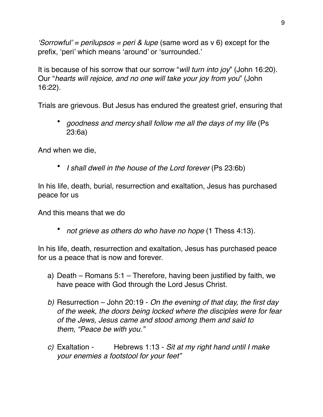*'Sorrowful' = perilupsos = peri & lupe* (same word as v 6) except for the prefix, 'peri' which means 'around' or 'surrounded.'

It is because of his sorrow that our sorrow "*will turn into joy*" (John 16:20). Our "*hearts will rejoice, and no one will take your joy from you*" (John 16:22).

Trials are grievous. But Jesus has endured the greatest grief, ensuring that

• *goodness and mercy shall follow me all the days of my life* (Ps 23:6a)

And when we die,

• *I shall dwell in the house of the Lord forever* (Ps 23:6b)

In his life, death, burial, resurrection and exaltation, Jesus has purchased peace for us

And this means that we do

• *not grieve as others do who have no hope* (1 Thess 4:13).

In his life, death, resurrection and exaltation, Jesus has purchased peace for us a peace that is now and forever.

- a) Death Romans 5:1 Therefore, having been justified by faith, we have peace with God through the Lord Jesus Christ.
- *b)* Resurrection John 20:19 *On the evening of that day, the first day of the week, the doors being locked where the disciples were for fear of the Jews, Jesus came and stood among them and said to them, "Peace be with you."*
- *c)* Exaltation Hebrews 1:13 *Sit at my right hand until I make your enemies a footstool for your feet"*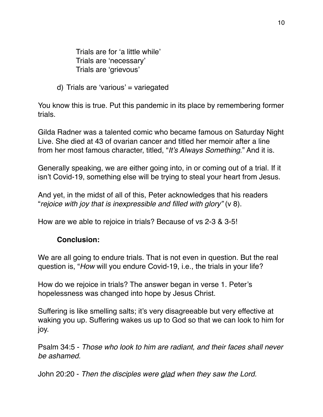Trials are for 'a little while' Trials are 'necessary' Trials are 'grievous'

d) Trials are 'various' = variegated

You know this is true. Put this pandemic in its place by remembering former trials.

Gilda Radner was a talented comic who became famous on Saturday Night Live. She died at 43 of ovarian cancer and titled her memoir after a line from her most famous character, titled, "*It's Always Something*." And it is.

Generally speaking, we are either going into, in or coming out of a trial. If it isn't Covid-19, something else will be trying to steal your heart from Jesus.

And yet, in the midst of all of this, Peter acknowledges that his readers "*rejoice with joy that is inexpressible and filled with glory"* (v 8).

How are we able to rejoice in trials? Because of vs 2-3 & 3-5!

# **Conclusion:**

We are all going to endure trials. That is not even in question. But the real question is, "*How* will you endure Covid-19, i.e., the trials in your life?

How do we rejoice in trials? The answer began in verse 1. Peter's hopelessness was changed into hope by Jesus Christ.

Suffering is like smelling salts; it's very disagreeable but very effective at waking you up. Suffering wakes us up to God so that we can look to him for joy.

Psalm 34:5 - *Those who look to him are radiant, and their faces shall never be ashamed.*

John 20:20 - *Then the disciples were glad when they saw the Lord.*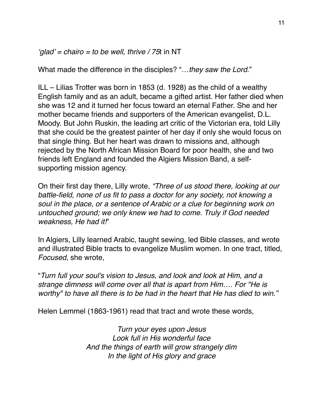*'glad' = chairo = to be well, thrive / 75*t in NT

What made the difference in the disciples? "…*they saw the Lord*."

ILL – Lilias Trotter was born in 1853 (d. 1928) as the child of a wealthy English family and as an adult, became a gifted artist. Her father died when she was 12 and it turned her focus toward an eternal Father. She and her mother became friends and supporters of the American evangelist, D.L. Moody. But John Ruskin, the leading art critic of the Victorian era, told Lilly that she could be the greatest painter of her day if only she would focus on that single thing. But her heart was drawn to missions and, although rejected by the North African Mission Board for poor health, she and two friends left England and founded the Algiers Mission Band, a selfsupporting mission agency.

On their first day there, Lilly wrote, *"Three of us stood there, looking at our battle-field, none of us fit to pass a doctor for any society, not knowing a soul in the place, or a sentence of Arabic or a clue for beginning work on untouched ground; we only knew we had to come. Truly if God needed weakness, He had it!*"

In Algiers, Lilly learned Arabic, taught sewing, led Bible classes, and wrote and illustrated Bible tracts to evangelize Muslim women. In one tract, titled, *Focused*, she wrote,

"*Turn full your soul's vision to Jesus, and look and look at Him, and a strange dimness will come over all that is apart from Him…. For "He is worthy" to have all there is to be had in the heart that He has died to win."*

Helen Lemmel (1863-1961) read that tract and wrote these words,

*Turn your eyes upon Jesus Look full in His wonderful face And the things of earth will grow strangely dim In the light of His glory and grace*